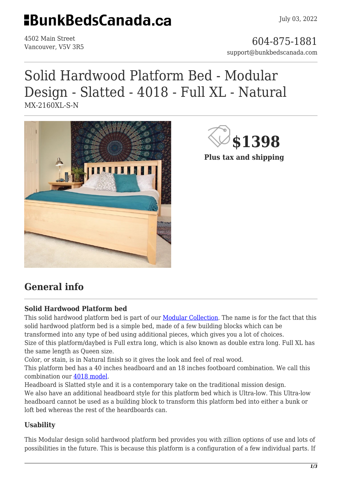## **HBunkBedsCanada.ca**

4502 Main Street

4502 Main Street<br>Vancouver, V5V 3R5 support@bunkbedscanada.com

# Solid Hardwood Platform Bed - Modular Design - Slatted - 4018 - Full XL - Natural

MX-2160XL-S-N





**Plus tax and shipping**

### **General info**

#### **Solid Hardwood Platform bed**

This solid hardwood platform bed is part of our [Modular Collection.](https://bunkbedscanada.com/about-modular-collection) The name is for the fact that this solid hardwood platform bed is a simple bed, made of a few building blocks which can be transformed into any type of bed using additional pieces, which gives you a lot of choices. Size of this platform/daybed is Full extra long, which is also known as double extra long. Full XL has the same length as Queen size.

Color, or stain, is in Natural finish so it gives the look and feel of real wood.

This platform bed has a 40 inches headboard and an 18 inches footboard combination. We call this combination our [4018 model](https://bunkbedscanada.com/solid-wood-platform-bed-modular-design-4018.html#size_swatch=530&color=256&att_headboards=644).

Headboard is Slatted style and it is a contemporary take on the traditional mission design. We also have an additional headboard style for this platform bed which is Ultra-low. This Ultra-low headboard cannot be used as a building block to transform this platform bed into either a bunk or loft bed whereas the rest of the heardboards can.

#### **Usability**

This Modular design solid hardwood platform bed provides you with zillion options of use and lots of possibilities in the future. This is because this platform is a configuration of a few individual parts. If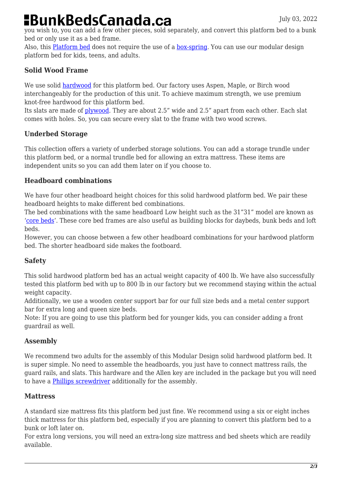## **BunkBedsCanada.ca**

you wish to, you can add a few other pieces, sold separately, and convert this platform bed to a bunk bed or only use it as a bed frame.

Also, this [Platform bed](https://en.wikipedia.org/wiki/Platform_bed) does not require the use of a [box-spring](https://en.wikipedia.org/wiki/Box-spring). You can use our modular design platform bed for kids, teens, and adults.

#### **Solid Wood Frame**

We use solid [hardwood](https://en.wikipedia.org/wiki/Hardwood) for this platform bed. Our factory uses Aspen, Maple, or Birch wood interchangeably for the production of this unit. To achieve maximum strength, we use premium knot-free hardwood for this platform bed.

Its slats are made of [plywood.](https://en.wikipedia.org/wiki/Plywood) They are about 2.5" wide and 2.5" apart from each other. Each slat comes with holes. So, you can secure every slat to the frame with two wood screws.

#### **Underbed Storage**

This collection offers a variety of underbed storage solutions. You can add a storage trundle under this platform bed, or a normal trundle bed for allowing an extra mattress. These items are independent units so you can add them later on if you choose to.

#### **Headboard combinations**

We have four other headboard height choices for this solid hardwood platform bed. We pair these headboard heights to make different bed combinations.

The bed combinations with the same headboard Low height such as the 31"31" model are known as '[core beds](https://bunkbedscanada.com/collections/modular-collection/core-beds.html)'. These core bed frames are also useful as building blocks for daybeds, bunk beds and loft beds.

However, you can choose between a few other headboard combinations for your hardwood platform bed. The shorter headboard side makes the footboard.

#### **Safety**

This solid hardwood platform bed has an actual weight capacity of 400 lb. We have also successfully tested this platform bed with up to 800 lb in our factory but we recommend staying within the actual weight capacity.

Additionally, we use a wooden center support bar for our full size beds and a metal center support bar for extra long and queen size beds.

Note: If you are going to use this platform bed for younger kids, you can consider adding a front guardrail as well.

#### **Assembly**

We recommend two adults for the assembly of this Modular Design solid hardwood platform bed. It is super simple. No need to assemble the headboards, you just have to connect mattress rails, the guard rails, and slats. This hardware and the Allen key are included in the package but you will need to have a [Phillips screwdriver](https://home.howstuffworks.com/what-does-phillips-head-screwdriver-look-like.htm) additionally for the assembly.

#### **Mattress**

A standard size mattress fits this platform bed just fine. We recommend using a six or eight inches thick mattress for this platform bed, especially if you are planning to convert this platform bed to a bunk or loft later on.

For extra long versions, you will need an extra-long size mattress and bed sheets which are readily available.